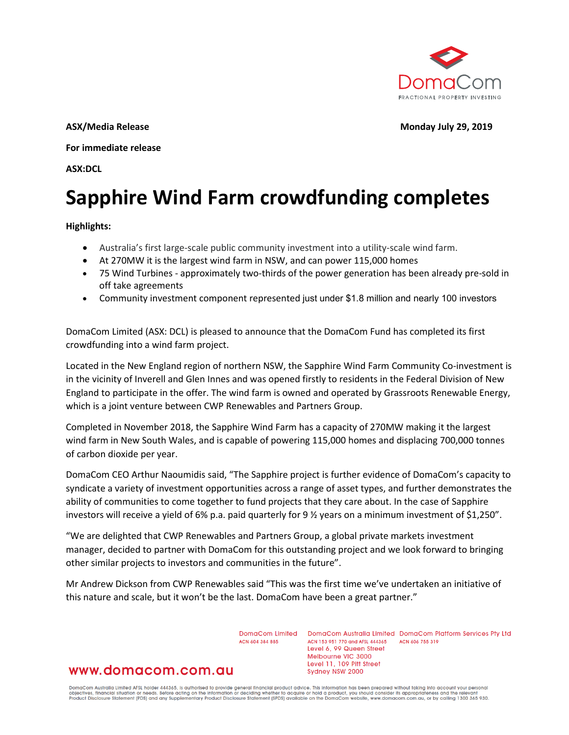

**ASX/Media Release Monday July 29, 2019**

**For immediate release**

**ASX:DCL**

# **Sapphire Wind Farm crowdfunding completes**

#### **Highlights:**

- Australia's first large-scale public community investment into a utility-scale wind farm.
- At 270MW it is the largest wind farm in NSW, and can power 115,000 homes
- 75 Wind Turbines approximately two-thirds of the power generation has been already pre-sold in off take agreements
- Community investment component represented just under \$1.8 million and nearly 100 investors

DomaCom Limited (ASX: DCL) is pleased to announce that the DomaCom Fund has completed its first crowdfunding into a wind farm project.

Located in the New England region of northern NSW, the Sapphire Wind Farm Community Co-investment is in the vicinity of Inverell and Glen Innes and was opened firstly to residents in the Federal Division of New England to participate in the offer. The wind farm is owned and operated by Grassroots Renewable Energy, which is a joint venture between CWP Renewables and Partners Group.

Completed in November 2018, the Sapphire Wind Farm has a capacity of 270MW making it the largest wind farm in New South Wales, and is capable of powering 115,000 homes and displacing 700,000 tonnes of carbon dioxide per year.

DomaCom CEO Arthur Naoumidis said, "The Sapphire project is further evidence of DomaCom's capacity to syndicate a variety of investment opportunities across a range of asset types, and further demonstrates the ability of communities to come together to fund projects that they care about. In the case of Sapphire investors will receive a yield of 6% p.a. paid quarterly for 9 ½ years on a minimum investment of \$1,250".

"We are delighted that CWP Renewables and Partners Group, a global private markets investment manager, decided to partner with DomaCom for this outstanding project and we look forward to bringing other similar projects to investors and communities in the future".

Mr Andrew Dickson from CWP Renewables said "This was the first time we've undertaken an initiative of this nature and scale, but it won't be the last. DomaCom have been a great partner."

ACN 604 384 885

DomaCom Limited DomaCom Australia Limited DomaCom Platform Services Pty Ltd ACN 153 951 770 and AFSL 444365 ACN 606 755 319 Level 6, 99 Queen Street Melbourne VIC 3000 Level 11, 109 Pitt Street Sydney NSW 2000

# www.domacom.com.au

DomaCom Australia Limited AFSL holder 444365, is authorised to provide general financial product advice. This information has been prepared without taking into account your personal<br>objectives, financial situation or needs